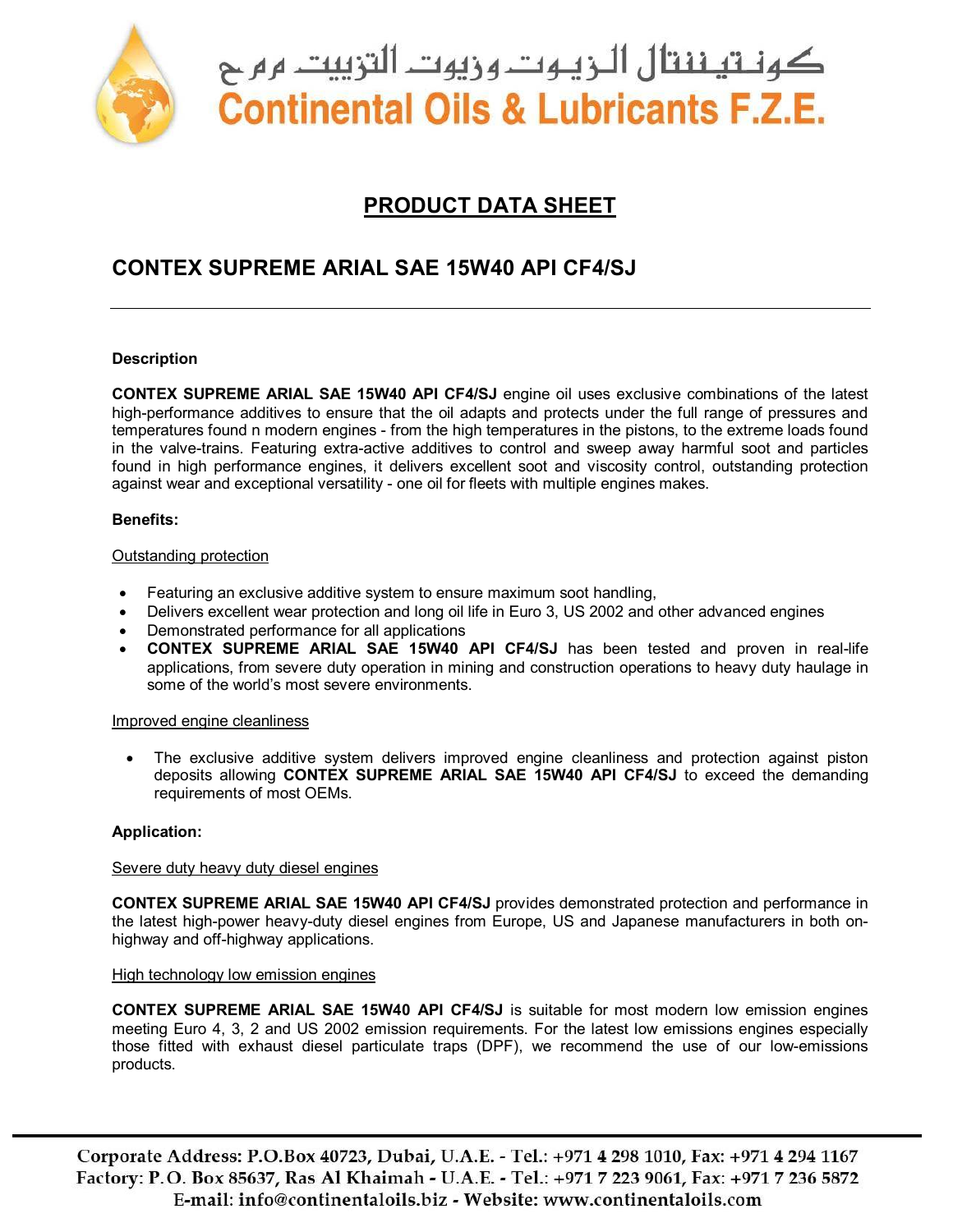

كونــتيــننتال الـــزيــوت ونيوت التزييت م م ح **Continental Oils & Lubricants F.Z.E.** 

# **PRODUCT DATA SHEET**

# **CONTEX SUPREME ARIAL SAE 15W40 API CF4/SJ**

## **Description**

**CONTEX SUPREME ARIAL SAE 15W40 API CF4/SJ** engine oil uses exclusive combinations of the latest high-performance additives to ensure that the oil adapts and protects under the full range of pressures and temperatures found n modern engines - from the high temperatures in the pistons, to the extreme loads found in the valve-trains. Featuring extra-active additives to control and sweep away harmful soot and particles found in high performance engines, it delivers excellent soot and viscosity control, outstanding protection against wear and exceptional versatility - one oil for fleets with multiple engines makes.

## **Benefits:**

#### Outstanding protection

- Featuring an exclusive additive system to ensure maximum soot handling,
- Delivers excellent wear protection and long oil life in Euro 3, US 2002 and other advanced engines
- Demonstrated performance for all applications
- **CONTEX SUPREME ARIAL SAE 15W40 API CF4/SJ** has been tested and proven in real-life applications, from severe duty operation in mining and construction operations to heavy duty haulage in some of the world's most severe environments.

#### Improved engine cleanliness

• The exclusive additive system delivers improved engine cleanliness and protection against piston deposits allowing **CONTEX SUPREME ARIAL SAE 15W40 API CF4/SJ** to exceed the demanding requirements of most OEMs.

## **Application:**

## Severe duty heavy duty diesel engines

**CONTEX SUPREME ARIAL SAE 15W40 API CF4/SJ** provides demonstrated protection and performance in the latest high-power heavy-duty diesel engines from Europe, US and Japanese manufacturers in both onhighway and off-highway applications.

#### High technology low emission engines

**CONTEX SUPREME ARIAL SAE 15W40 API CF4/SJ** is suitable for most modern low emission engines meeting Euro 4, 3, 2 and US 2002 emission requirements. For the latest low emissions engines especially those fitted with exhaust diesel particulate traps (DPF), we recommend the use of our low-emissions products.

Corporate Address: P.O.Box 40723, Dubai, U.A.E. - Tel.: +971 4 298 1010, Fax: +971 4 294 1167 Factory: P.O. Box 85637, Ras Al Khaimah - U.A.E. - Tel.: +971 7 223 9061, Fax: +971 7 236 5872 E-mail: info@continentaloils.biz - Website: www.continentaloils.com